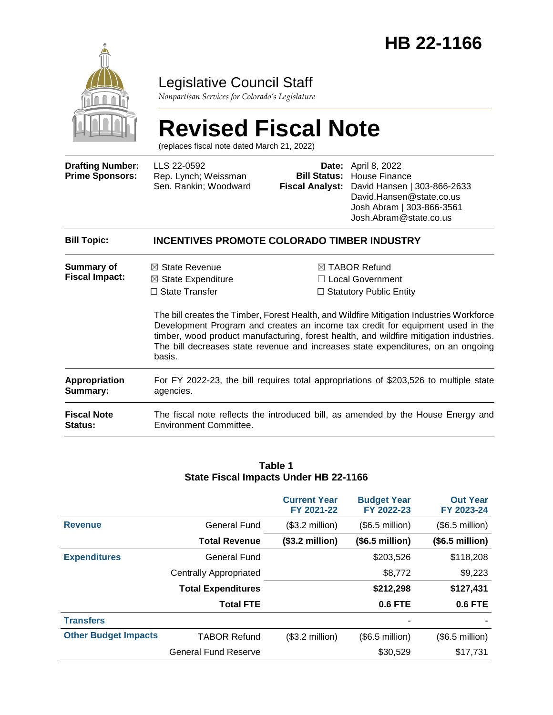

### Legislative Council Staff

*Nonpartisan Services for Colorado's Legislature*

# **Revised Fiscal Note**

(replaces fiscal note dated March 21, 2022)

| <b>Drafting Number:</b><br><b>Prime Sponsors:</b> | LLS 22-0592<br>Rep. Lynch; Weissman<br>Sen. Rankin; Woodward                                                                                                                                                                                                                                                                                                       | Date:<br><b>Bill Status:</b><br><b>Fiscal Analyst:</b> | April 8, 2022<br>House Finance<br>David Hansen   303-866-2633<br>David.Hansen@state.co.us<br>Josh Abram   303-866-3561<br>Josh.Abram@state.co.us |  |  |
|---------------------------------------------------|--------------------------------------------------------------------------------------------------------------------------------------------------------------------------------------------------------------------------------------------------------------------------------------------------------------------------------------------------------------------|--------------------------------------------------------|--------------------------------------------------------------------------------------------------------------------------------------------------|--|--|
| <b>Bill Topic:</b>                                | <b>INCENTIVES PROMOTE COLORADO TIMBER INDUSTRY</b>                                                                                                                                                                                                                                                                                                                 |                                                        |                                                                                                                                                  |  |  |
| <b>Summary of</b><br><b>Fiscal Impact:</b>        | $\boxtimes$ State Revenue<br>$\boxtimes$ State Expenditure<br>$\Box$ State Transfer                                                                                                                                                                                                                                                                                |                                                        | $\boxtimes$ TABOR Refund<br>Local Government<br>$\Box$ Statutory Public Entity                                                                   |  |  |
|                                                   | The bill creates the Timber, Forest Health, and Wildfire Mitigation Industries Workforce<br>Development Program and creates an income tax credit for equipment used in the<br>timber, wood product manufacturing, forest health, and wildfire mitigation industries.<br>The bill decreases state revenue and increases state expenditures, on an ongoing<br>basis. |                                                        |                                                                                                                                                  |  |  |

**Appropriation Summary:** For FY 2022-23, the bill requires total appropriations of \$203,526 to multiple state agencies.

**Fiscal Note Status:** The fiscal note reflects the introduced bill, as amended by the House Energy and Environment Committee.

#### **Table 1 State Fiscal Impacts Under HB 22-1166**

|                             |                               | <b>Current Year</b><br>FY 2021-22 | <b>Budget Year</b><br>FY 2022-23 | <b>Out Year</b><br>FY 2023-24 |
|-----------------------------|-------------------------------|-----------------------------------|----------------------------------|-------------------------------|
| <b>Revenue</b>              | <b>General Fund</b>           | $($3.2$ million)                  | $($6.5$ million)                 | $($6.5$ million)              |
|                             | <b>Total Revenue</b>          | (\$3.2 million)                   | (\$6.5 million)                  | (\$6.5 million)               |
| <b>Expenditures</b>         | General Fund                  |                                   | \$203,526                        | \$118,208                     |
|                             | <b>Centrally Appropriated</b> |                                   | \$8,772                          | \$9,223                       |
|                             | <b>Total Expenditures</b>     |                                   | \$212,298                        | \$127,431                     |
|                             | <b>Total FTE</b>              |                                   | <b>0.6 FTE</b>                   | 0.6 FTE                       |
| <b>Transfers</b>            |                               |                                   |                                  |                               |
| <b>Other Budget Impacts</b> | <b>TABOR Refund</b>           | $($3.2$ million)                  | $($6.5$ million)                 | $($6.5$ million)              |
|                             | <b>General Fund Reserve</b>   |                                   | \$30,529                         | \$17,731                      |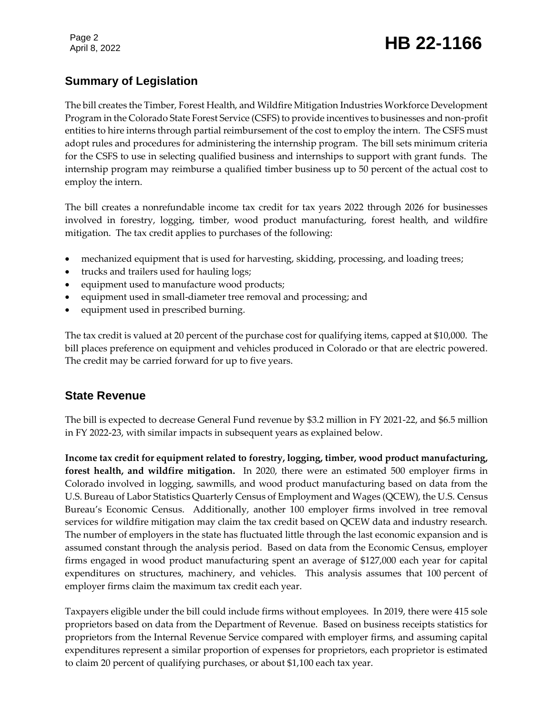### Page 2<br>April 8, 2022 **HB 22-1166**

#### **Summary of Legislation**

The bill creates the Timber, Forest Health, and Wildfire Mitigation Industries Workforce Development Program in the Colorado State Forest Service (CSFS) to provide incentives to businesses and non-profit entities to hire interns through partial reimbursement of the cost to employ the intern. The CSFS must adopt rules and procedures for administering the internship program. The bill sets minimum criteria for the CSFS to use in selecting qualified business and internships to support with grant funds. The internship program may reimburse a qualified timber business up to 50 percent of the actual cost to employ the intern.

The bill creates a nonrefundable income tax credit for tax years 2022 through 2026 for businesses involved in forestry, logging, timber, wood product manufacturing, forest health, and wildfire mitigation. The tax credit applies to purchases of the following:

- mechanized equipment that is used for harvesting, skidding, processing, and loading trees;
- trucks and trailers used for hauling logs;
- equipment used to manufacture wood products;
- equipment used in small-diameter tree removal and processing; and
- equipment used in prescribed burning.

The tax credit is valued at 20 percent of the purchase cost for qualifying items, capped at \$10,000. The bill places preference on equipment and vehicles produced in Colorado or that are electric powered. The credit may be carried forward for up to five years.

#### **State Revenue**

The bill is expected to decrease General Fund revenue by \$3.2 million in FY 2021-22, and \$6.5 million in FY 2022-23, with similar impacts in subsequent years as explained below.

**Income tax credit for equipment related to forestry, logging, timber, wood product manufacturing, forest health, and wildfire mitigation.** In 2020, there were an estimated 500 employer firms in Colorado involved in logging, sawmills, and wood product manufacturing based on data from the U.S. Bureau of Labor Statistics Quarterly Census of Employment and Wages (QCEW), the U.S. Census Bureau's Economic Census. Additionally, another 100 employer firms involved in tree removal services for wildfire mitigation may claim the tax credit based on QCEW data and industry research. The number of employers in the state has fluctuated little through the last economic expansion and is assumed constant through the analysis period. Based on data from the Economic Census, employer firms engaged in wood product manufacturing spent an average of \$127,000 each year for capital expenditures on structures, machinery, and vehicles. This analysis assumes that 100 percent of employer firms claim the maximum tax credit each year.

Taxpayers eligible under the bill could include firms without employees. In 2019, there were 415 sole proprietors based on data from the Department of Revenue. Based on business receipts statistics for proprietors from the Internal Revenue Service compared with employer firms, and assuming capital expenditures represent a similar proportion of expenses for proprietors, each proprietor is estimated to claim 20 percent of qualifying purchases, or about \$1,100 each tax year.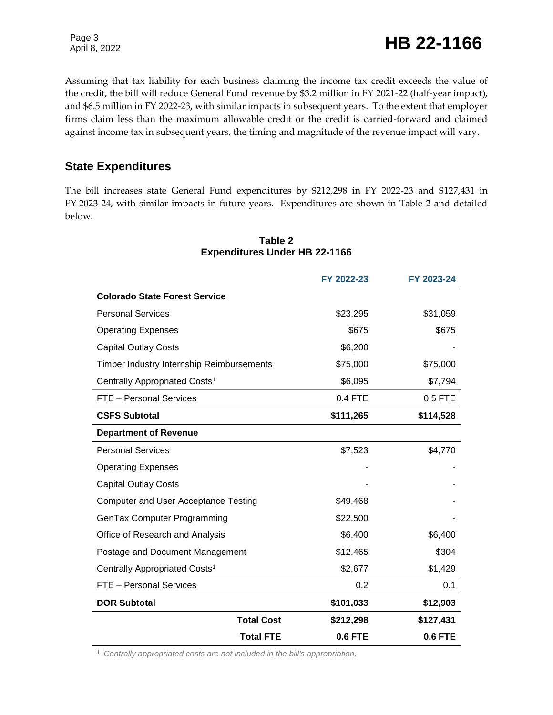Assuming that tax liability for each business claiming the income tax credit exceeds the value of the credit, the bill will reduce General Fund revenue by \$3.2 million in FY 2021-22 (half-year impact), and \$6.5 million in FY 2022-23, with similar impacts in subsequent years. To the extent that employer firms claim less than the maximum allowable credit or the credit is carried-forward and claimed against income tax in subsequent years, the timing and magnitude of the revenue impact will vary.

#### **State Expenditures**

The bill increases state General Fund expenditures by \$212,298 in FY 2022-23 and \$127,431 in FY 2023-24, with similar impacts in future years. Expenditures are shown in Table 2 and detailed below.

|                                             |                   | FY 2022-23     | FY 2023-24     |
|---------------------------------------------|-------------------|----------------|----------------|
| <b>Colorado State Forest Service</b>        |                   |                |                |
| <b>Personal Services</b>                    |                   | \$23,295       | \$31,059       |
| <b>Operating Expenses</b>                   |                   | \$675          | \$675          |
| <b>Capital Outlay Costs</b>                 |                   | \$6,200        |                |
| Timber Industry Internship Reimbursements   |                   | \$75,000       | \$75,000       |
| Centrally Appropriated Costs <sup>1</sup>   |                   | \$6,095        | \$7,794        |
| FTE - Personal Services                     |                   | 0.4 FTE        | 0.5 FTE        |
| <b>CSFS Subtotal</b>                        |                   | \$111,265      | \$114,528      |
| <b>Department of Revenue</b>                |                   |                |                |
| <b>Personal Services</b>                    |                   | \$7,523        | \$4,770        |
| <b>Operating Expenses</b>                   |                   |                |                |
| <b>Capital Outlay Costs</b>                 |                   |                |                |
| <b>Computer and User Acceptance Testing</b> |                   | \$49,468       |                |
| GenTax Computer Programming                 |                   | \$22,500       |                |
| Office of Research and Analysis             |                   | \$6,400        | \$6,400        |
| Postage and Document Management             |                   | \$12,465       | \$304          |
| Centrally Appropriated Costs <sup>1</sup>   |                   | \$2,677        | \$1,429        |
| FTE - Personal Services                     |                   | 0.2            | 0.1            |
| <b>DOR Subtotal</b>                         |                   | \$101,033      | \$12,903       |
|                                             | <b>Total Cost</b> | \$212,298      | \$127,431      |
|                                             | <b>Total FTE</b>  | <b>0.6 FTE</b> | <b>0.6 FTE</b> |

#### **Table 2 Expenditures Under HB 22-1166**

<sup>1</sup> *Centrally appropriated costs are not included in the bill's appropriation.*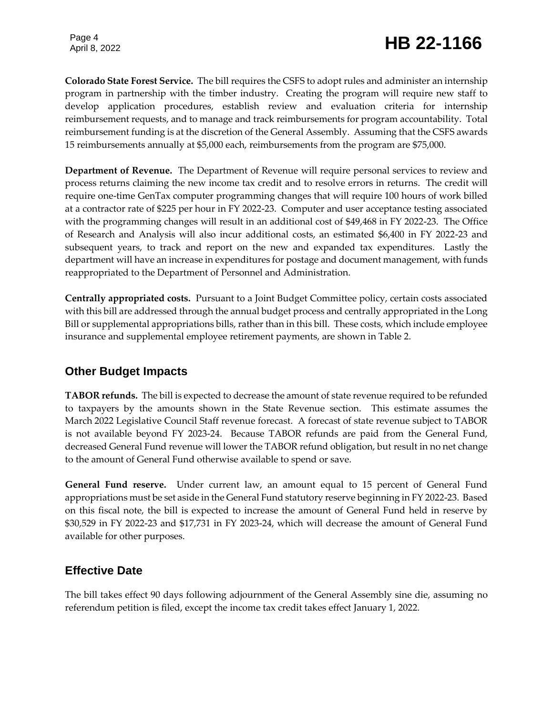## Page 4<br>April 8, 2022 **HB 22-1166**

**Colorado State Forest Service.** The bill requires the CSFS to adopt rules and administer an internship program in partnership with the timber industry. Creating the program will require new staff to develop application procedures, establish review and evaluation criteria for internship reimbursement requests, and to manage and track reimbursements for program accountability. Total reimbursement funding is at the discretion of the General Assembly. Assuming that the CSFS awards 15 reimbursements annually at \$5,000 each, reimbursements from the program are \$75,000.

**Department of Revenue.** The Department of Revenue will require personal services to review and process returns claiming the new income tax credit and to resolve errors in returns. The credit will require one-time GenTax computer programming changes that will require 100 hours of work billed at a contractor rate of \$225 per hour in FY 2022-23. Computer and user acceptance testing associated with the programming changes will result in an additional cost of \$49,468 in FY 2022-23. The Office of Research and Analysis will also incur additional costs, an estimated \$6,400 in FY 2022-23 and subsequent years, to track and report on the new and expanded tax expenditures. Lastly the department will have an increase in expenditures for postage and document management, with funds reappropriated to the Department of Personnel and Administration.

**Centrally appropriated costs.** Pursuant to a Joint Budget Committee policy, certain costs associated with this bill are addressed through the annual budget process and centrally appropriated in the Long Bill or supplemental appropriations bills, rather than in this bill. These costs, which include employee insurance and supplemental employee retirement payments, are shown in Table 2.

#### **Other Budget Impacts**

**TABOR refunds.** The bill is expected to decrease the amount of state revenue required to be refunded to taxpayers by the amounts shown in the State Revenue section. This estimate assumes the March 2022 Legislative Council Staff revenue forecast. A forecast of state revenue subject to TABOR is not available beyond FY 2023-24. Because TABOR refunds are paid from the General Fund, decreased General Fund revenue will lower the TABOR refund obligation, but result in no net change to the amount of General Fund otherwise available to spend or save.

**General Fund reserve.** Under current law, an amount equal to 15 percent of General Fund appropriations must be set aside in the General Fund statutory reserve beginning in FY 2022-23. Based on this fiscal note, the bill is expected to increase the amount of General Fund held in reserve by \$30,529 in FY 2022-23 and \$17,731 in FY 2023-24, which will decrease the amount of General Fund available for other purposes.

#### **Effective Date**

The bill takes effect 90 days following adjournment of the General Assembly sine die, assuming no referendum petition is filed, except the income tax credit takes effect January 1, 2022.